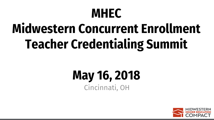# **Midwestern Concurrent Enrollment Teacher Credentialing Summit**

#### **May 16, 2018** Cincinnati, OH

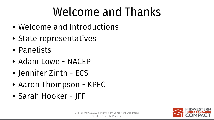### Welcome and Thanks

- Welcome and Introductions
- State representatives
- Panelists
- Adam Lowe NACEP
- Jennifer Zinth ECS
- Aaron Thompson KPEC
- Sarah Hooker JFF

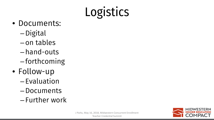# Logistics

- Documents:
	- –Digital
	- on tables
	- hand-outs
	- forthcoming
- Follow-up
	- Evaluation
	- –Documents
	- Further work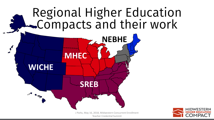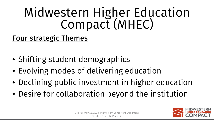# Midwestern Higher Education<br>Compact (MHEC)

#### Four strategic Themes

- Shifting student demographics
- Evolving modes of delivering education
- Declining public investment in higher education
- Desire for collaboration beyond the institution

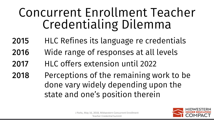#### Concurrent Enrollment Teacher Credentialing Dilemma

- 2015 HLC Refines its language re credentials
- 2016 Wide range of responses at all levels
- 2017 HLC offers extension until 2022
- 2018 Perceptions of the remaining work to be done vary widely depending upon the state and one's position therein

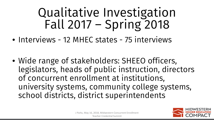- Interviews 12 MHEC states 75 interviews
- Wide range of stakeholders: SHEEO officers, legislators, heads of public instruction, directors of concurrent enrollment at institutions, university systems, community college systems, school districts, district superintendents

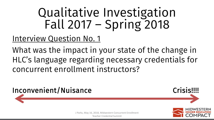Interview Question No. 1

What was the impact in your state of the change in HLC's language regarding necessary credentials for concurrent enrollment instructors?

Teacher Credential Summit <sup>8</sup>



J Parks, May 16, 2018, Midwestern Concurrent Enrollment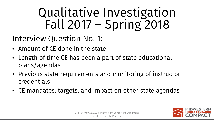#### Interview Question No. 1:

- Amount of CE done in the state
- Length of time CE has been a part of state educational plans/agendas
- Previous state requirements and monitoring of instructor credentials
- CE mandates, targets, and impact on other state agendas

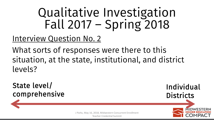Interview Question No. 2

What sorts of responses were there to this situation, at the state, institutional, and district levels?

State level/ comprehensive

Individual **Districts** 

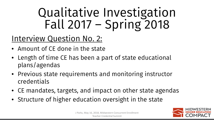#### Interview Question No. 2:

- Amount of CE done in the state
- Length of time CE has been a part of state educational plans/agendas
- Previous state requirements and monitoring instructor credentials
- CE mandates, targets, and impact on other state agendas
- Structure of higher education oversight in the state

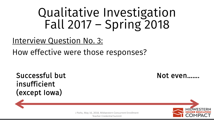Interview Question No. 3:

How effective were those responses?

Successful but insufficient (except Iowa)

Not even..



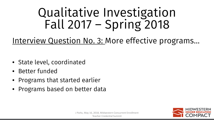Interview Question No. 3: More effective programs...

- State level, coordinated
- Better funded
- Programs that started earlier
- Programs based on better data

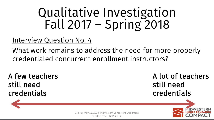#### Interview Question No. 4

What work remains to address the need for more properly credentialed concurrent enrollment instructors?

A few teachers still need credentials

A lot of teachers still need credentials



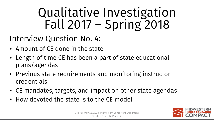#### Interview Question No. 4:

- Amount of CE done in the state
- Length of time CE has been a part of state educational plans/agendas
- Previous state requirements and monitoring instructor credentials
- CE mandates, targets, and impact on other state agendas
- How devoted the state is to the CE model

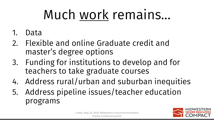# Much work remains…

- 1. Data
- 2. Flexible and online Graduate credit and master's degree options
- 3. Funding for institutions to develop and for teachers to take graduate courses
- 4. Address rural/urban and suburban inequities
- 5. Address pipeline issues/teacher education programs

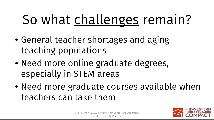- General teacher shortages and aging teaching populations
- Need more online graduate degrees, especially in STEM areas
- Need more graduate courses available when teachers can take them

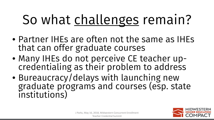- Partner IHEs are often not the same as IHEs that can offer graduate courses
- Many IHEs do not perceive CE teacher up- credentialing as their problem to address
- Bureaucracy/delays with launching new graduate programs and courses (esp. state institutions)

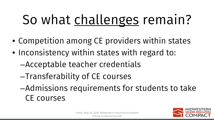- Competition among CE providers within states
- Inconsistency within states with regard to:
	- –Acceptable teacher credentials
	- –Transferability of CE courses
	- –Admissions requirements for students to take CE courses

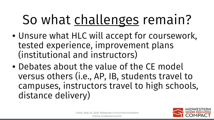- Unsure what HLC will accept for coursework, tested experience, improvement plans (institutional and instructors)
- Debates about the value of the CE model versus others (i.e., AP, IB, students travel to campuses, instructors travel to high schools, distance delivery)

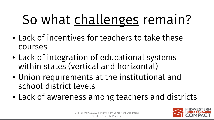- Lack of incentives for teachers to take these courses
- Lack of integration of educational systems within states (vertical and horizontal)
- Union requirements at the institutional and school district levels
- Lack of awareness among teachers and districts

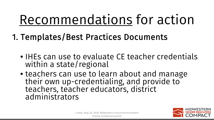- 1. Templates/Best Practices Documents
	- IHEs can use to evaluate CE teacher credentials within a state/regional
	- teachers can use to learn about and manage their own up-credentialing, and provide to<br>teachers, teacher educators, district administrators

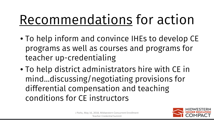- To help inform and convince IHEs to develop CE programs as well as courses and programs for teacher up-credentialing
- To help district administrators hire with CE in mind…discussing/negotiating provisions for differential compensation and teaching conditions for CE instructors

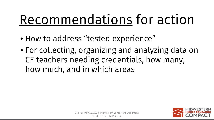- How to address "tested experience"
- For collecting, organizing and analyzing data on CE teachers needing credentials, how many, how much, and in which areas

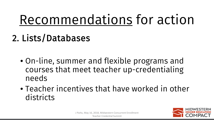2. Lists/Databases

- On-line, summer and flexible programs and courses that meet teacher up-credentialing needs
- Teacher incentives that have worked in other districts

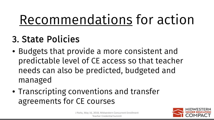#### 3. State Policies

- Budgets that provide a more consistent and predictable level of CE access so that teacher needs can also be predicted, budgeted and managed
- Transcripting conventions and transfer agreements for CE courses

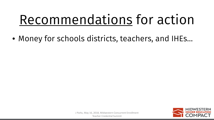• Money for schools districts, teachers, and IHEs…

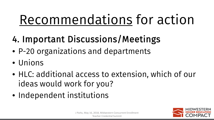- 4. Important Discussions/Meetings
- P-20 organizations and departments
- Unions
- HLC: additional access to extension, which of our ideas would work for you?
- Independent institutions

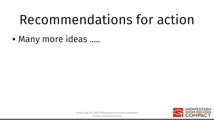• Many more ideas …..

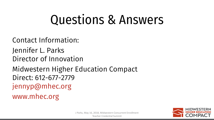### Questions & Answers

Contact Information: Jennifer L. Parks Director of Innovation Midwestern Higher Education Compact Direct: 612-677-2779 jennyp@mhec.org www.mhec.org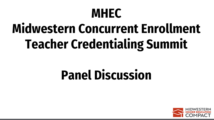# **Midwestern Concurrent Enrollment Teacher Credentialing Summit**

### **Panel Discussion**

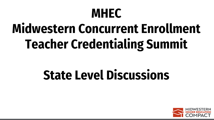# **Midwestern Concurrent Enrollment Teacher Credentialing Summit**

#### **State Level Discussions**

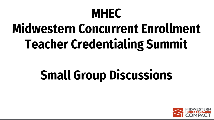# **Midwestern Concurrent Enrollment Teacher Credentialing Summit**

### **Small Group Discussions**